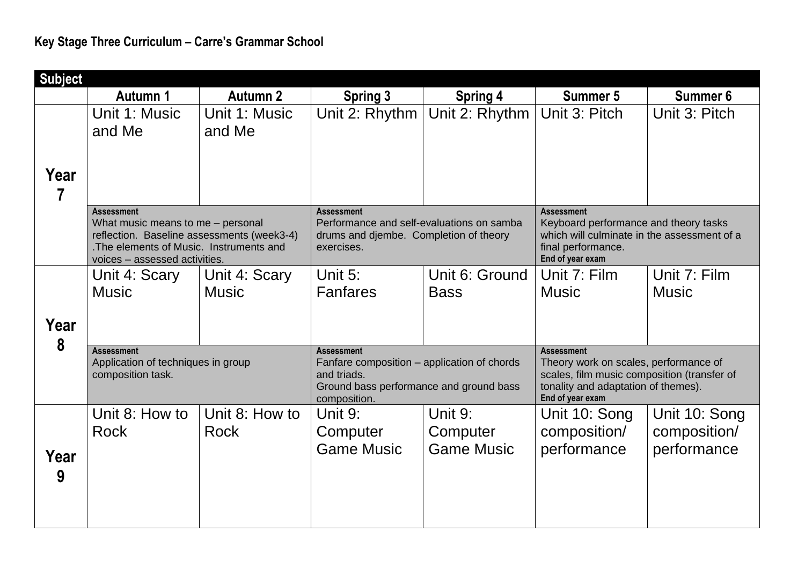| <b>Subject</b> |                                                                                                                                                                                   |                               |                                                                                                                                            |                                          |                                                                                                                                                                      |                                              |  |  |
|----------------|-----------------------------------------------------------------------------------------------------------------------------------------------------------------------------------|-------------------------------|--------------------------------------------------------------------------------------------------------------------------------------------|------------------------------------------|----------------------------------------------------------------------------------------------------------------------------------------------------------------------|----------------------------------------------|--|--|
|                | Autumn 1                                                                                                                                                                          | Autumn 2                      | <b>Spring 3</b>                                                                                                                            | <b>Spring 4</b>                          | Summer 5                                                                                                                                                             | Summer 6                                     |  |  |
| Year           | Unit 1: Music<br>and Me                                                                                                                                                           | Unit 1: Music<br>and Me       | Unit 2: Rhythm                                                                                                                             | Unit 2: Rhythm                           | Unit 3: Pitch                                                                                                                                                        | Unit 3: Pitch                                |  |  |
| 7              | <b>Assessment</b><br>What music means to me - personal<br>reflection. Baseline assessments (week3-4)<br>. The elements of Music. Instruments and<br>voices - assessed activities. |                               | <b>Assessment</b><br>Performance and self-evaluations on samba<br>drums and djembe. Completion of theory<br>exercises.                     |                                          | <b>Assessment</b><br>Keyboard performance and theory tasks<br>which will culminate in the assessment of a<br>final performance.<br>End of year exam                  |                                              |  |  |
| Year<br>8      | Unit 4: Scary<br><b>Music</b>                                                                                                                                                     | Unit 4: Scary<br><b>Music</b> | Unit $5:$<br><b>Fanfares</b>                                                                                                               | Unit 6: Ground<br><b>Bass</b>            | Unit 7: Film<br><b>Music</b>                                                                                                                                         | Unit 7: Film<br><b>Music</b>                 |  |  |
|                | <b>Assessment</b><br>Application of techniques in group<br>composition task.                                                                                                      |                               | <b>Assessment</b><br>Fanfare composition - application of chords<br>and triads.<br>Ground bass performance and ground bass<br>composition. |                                          | <b>Assessment</b><br>Theory work on scales, performance of<br>scales, film music composition (transfer of<br>tonality and adaptation of themes).<br>End of year exam |                                              |  |  |
| Year<br>9      | Unit 8: How to<br><b>Rock</b>                                                                                                                                                     | Unit 8: How to<br>Rock        | Unit 9:<br>Computer<br><b>Game Music</b>                                                                                                   | Unit 9:<br>Computer<br><b>Game Music</b> | Unit 10: Song<br>composition/<br>performance                                                                                                                         | Unit 10: Song<br>composition/<br>performance |  |  |